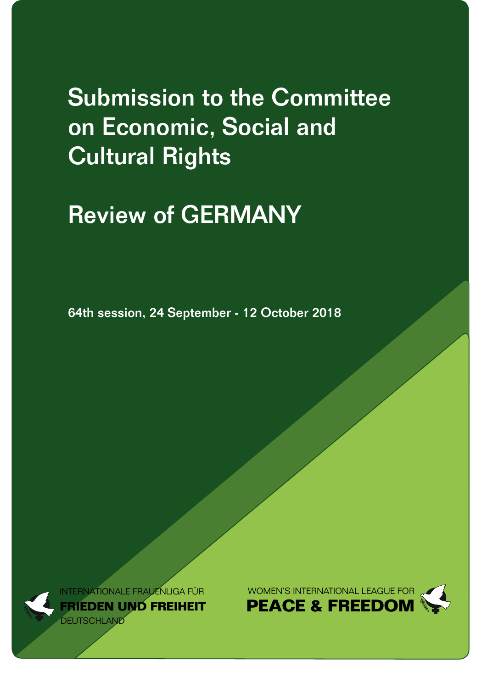# Submission to the Committee on Economic, Social and Cultural Rights

## Review of GERMANY

64th session, 24 September - 12 October 2018



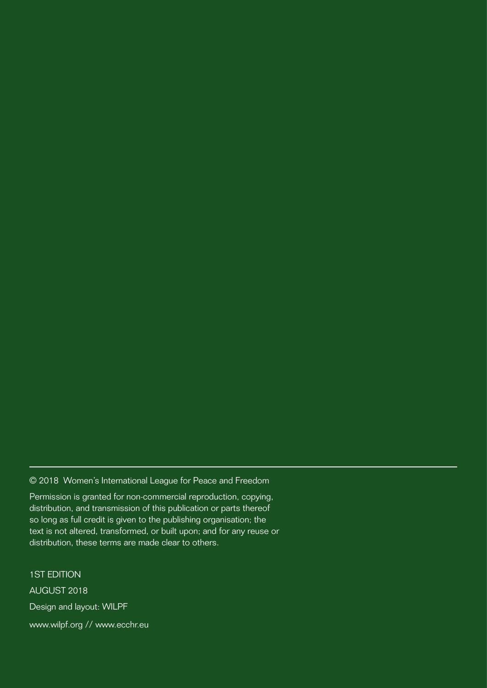© 2018 Women's International League for Peace and Freedom

Permission is granted for non-commercial reproduction, copying, distribution, and transmission of this publication or parts thereof so long as full credit is given to the publishing organisation; the text is not altered, transformed, or built upon; and for any reuse or distribution, these terms are made clear to others.

1ST EDITION AUGUST 2018 Design and layout: WILPF www.wilpf.org // www.ecchr.eu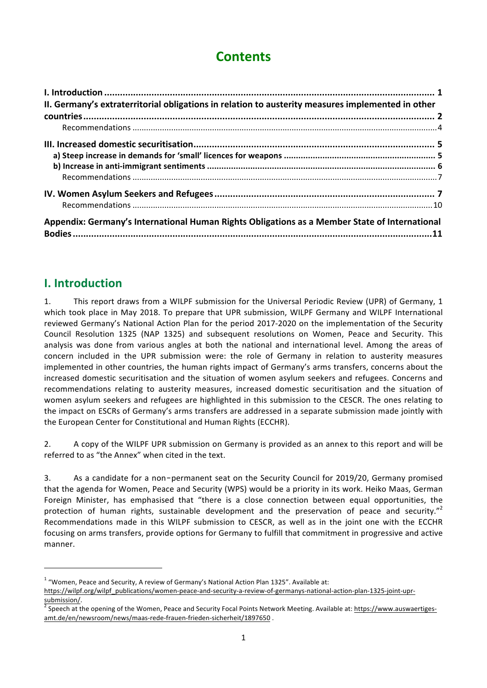## **Contents**

| II. Germany's extraterritorial obligations in relation to austerity measures implemented in other |  |
|---------------------------------------------------------------------------------------------------|--|
|                                                                                                   |  |
|                                                                                                   |  |
|                                                                                                   |  |
|                                                                                                   |  |
|                                                                                                   |  |
|                                                                                                   |  |
|                                                                                                   |  |
|                                                                                                   |  |
| Appendix: Germany's International Human Rights Obligations as a Member State of International     |  |
|                                                                                                   |  |

### **I.** Introduction

<u> 1989 - Johann Stein, fransk politiker (d. 1989)</u>

1. This report draws from a WILPF submission for the Universal Periodic Review (UPR) of Germany, 1 which took place in May 2018. To prepare that UPR submission, WILPF Germany and WILPF International reviewed Germany's National Action Plan for the period 2017-2020 on the implementation of the Security Council Resolution 1325 (NAP 1325) and subsequent resolutions on Women, Peace and Security. This analysis was done from various angles at both the national and international level. Among the areas of concern included in the UPR submission were: the role of Germany in relation to austerity measures implemented in other countries, the human rights impact of Germany's arms transfers, concerns about the increased domestic securitisation and the situation of women asylum seekers and refugees. Concerns and recommendations relating to austerity measures, increased domestic securitisation and the situation of women asylum seekers and refugees are highlighted in this submission to the CESCR. The ones relating to the impact on ESCRs of Germany's arms transfers are addressed in a separate submission made jointly with the European Center for Constitutional and Human Rights (ECCHR).

2. A copy of the WILPF UPR submission on Germany is provided as an annex to this report and will be referred to as "the Annex" when cited in the text

3. As a candidate for a non-permanent seat on the Security Council for 2019/20, Germany promised that the agenda for Women, Peace and Security (WPS) would be a priority in its work. Heiko Maas, German Foreign Minister, has emphasised that "there is a close connection between equal opportunities, the protection of human rights, sustainable development and the preservation of peace and security."<sup>2</sup> Recommendations made in this WILPF submission to CESCR, as well as in the joint one with the ECCHR focusing on arms transfers, provide options for Germany to fulfill that commitment in progressive and active manner. 

 $1$  "Women, Peace and Security, A review of Germany's National Action Plan 1325". Available at:

https://wilpf.org/wilpf\_publications/women-peace-and-security-a-review-of-germanys-national-action-plan-1325-joint-upr-

submission/.<br><sup>2</sup> Speech at the opening of the Women, Peace and Security Focal Points Network Meeting. Available at: https://www.auswaertigesamt.de/en/newsroom/news/maas-rede-frauen-frieden-sicherheit/1897650 .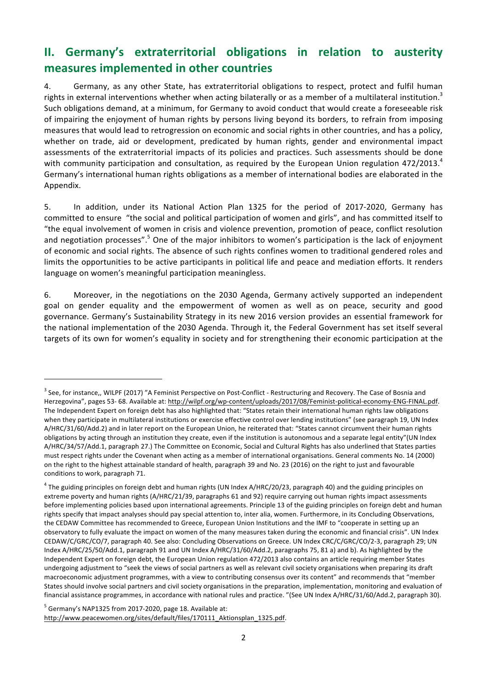## **II.** Germany's extraterritorial obligations in relation to austerity **measures implemented in other countries**

4. Germany, as any other State, has extraterritorial obligations to respect, protect and fulfil human rights in external interventions whether when acting bilaterally or as a member of a multilateral institution.<sup>3</sup> Such obligations demand, at a minimum, for Germany to avoid conduct that would create a foreseeable risk of impairing the enjoyment of human rights by persons living beyond its borders, to refrain from imposing measures that would lead to retrogression on economic and social rights in other countries, and has a policy, whether on trade, aid or development, predicated by human rights, gender and environmental impact assessments of the extraterritorial impacts of its policies and practices. Such assessments should be done with community participation and consultation, as required by the European Union regulation  $472/2013.^4$ Germany's international human rights obligations as a member of international bodies are elaborated in the Appendix.

5. In addition, under its National Action Plan 1325 for the period of 2017-2020, Germany has committed to ensure "the social and political participation of women and girls", and has committed itself to "the equal involvement of women in crisis and violence prevention, promotion of peace, conflict resolution and negotiation processes".<sup>5</sup> One of the major inhibitors to women's participation is the lack of enjoyment of economic and social rights. The absence of such rights confines women to traditional gendered roles and limits the opportunities to be active participants in political life and peace and mediation efforts. It renders language on women's meaningful participation meaningless.

6. Moreover, in the negotiations on the 2030 Agenda, Germany actively supported an independent goal on gender equality and the empowerment of women as well as on peace, security and good governance. Germany's Sustainability Strategy in its new 2016 version provides an essential framework for the national implementation of the 2030 Agenda. Through it, the Federal Government has set itself several targets of its own for women's equality in society and for strengthening their economic participation at the

 $<sup>5</sup>$  Germany's NAP1325 from 2017-2020, page 18. Available at:</sup> http://www.peacewomen.org/sites/default/files/170111\_Aktionsplan\_1325.pdf.

 $3$  See, for instance,, WILPF (2017) "A Feminist Perspective on Post-Conflict - Restructuring and Recovery. The Case of Bosnia and Herzegovina", pages 53- 68. Available at: http://wilpf.org/wp-content/uploads/2017/08/Feminist-political-economy-ENG-FINAL.pdf. The Independent Expert on foreign debt has also highlighted that: "States retain their international human rights law obligations when they participate in multilateral institutions or exercise effective control over lending institutions" (see paragraph 19, UN Index A/HRC/31/60/Add.2) and in later report on the European Union, he reiterated that: "States cannot circumvent their human rights obligations by acting through an institution they create, even if the institution is autonomous and a separate legal entity"(UN Index A/HRC/34/57/Add.1, paragraph 27.) The Committee on Economic, Social and Cultural Rights has also underlined that States parties must respect rights under the Covenant when acting as a member of international organisations. General comments No. 14 (2000) on the right to the highest attainable standard of health, paragraph 39 and No. 23 (2016) on the right to just and favourable conditions to work, paragraph 71.

 $4$  The guiding principles on foreign debt and human rights (UN Index A/HRC/20/23, paragraph 40) and the guiding principles on extreme poverty and human rights (A/HRC/21/39, paragraphs 61 and 92) require carrying out human rights impact assessments before implementing policies based upon international agreements. Principle 13 of the guiding principles on foreign debt and human rights specify that impact analyses should pay special attention to, inter alia, women. Furthermore, in its Concluding Observations, the CEDAW Committee has recommended to Greece, European Union Institutions and the IMF to "cooperate in setting up an observatory to fully evaluate the impact on women of the many measures taken during the economic and financial crisis". UN Index CEDAW/C/GRC/CO/7, paragraph 40. See also: Concluding Observations on Greece. UN Index CRC/C/GRC/CO/2-3, paragraph 29; UN Index A/HRC/25/50/Add.1, paragraph 91 and UN Index A/HRC/31/60/Add.2, paragraphs 75, 81 a) and b). As highlighted by the Independent Expert on foreign debt, the European Union regulation 472/2013 also contains an article requiring member States undergoing adjustment to "seek the views of social partners as well as relevant civil society organisations when preparing its draft macroeconomic adjustment programmes, with a view to contributing consensus over its content" and recommends that "member States should involve social partners and civil society organisations in the preparation, implementation, monitoring and evaluation of financial assistance programmes, in accordance with national rules and practice. "(See UN Index A/HRC/31/60/Add.2, paragraph 30).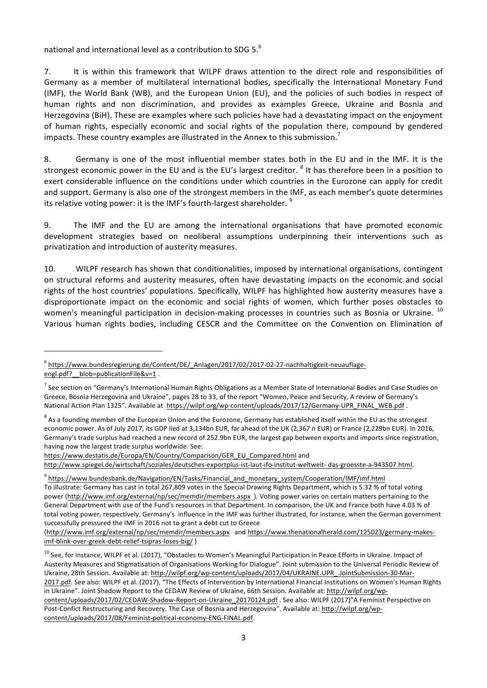national and international level as a contribution to SDG 5. $<sup>6</sup>$ </sup>

7. It is within this framework that WILPF draws attention to the direct role and responsibilities of Germany as a member of multilateral international bodies, specifically the International Monetary Fund (IMF), the World Bank (WB), and the European Union (EU), and the policies of such bodies in respect of human rights and non discrimination, and provides as examples Greece, Ukraine and Bosnia and Herzegovina (BiH). These are examples where such policies have had a devastating impact on the enjoyment of human rights, especially economic and social rights of the population there, compound by gendered impacts. These country examples are illustrated in the Annex to this submission.<sup>7</sup>

8. Germany is one of the most influential member states both in the EU and in the IMF. It is the strongest economic power in the EU and is the EU's largest creditor. <sup>8</sup> It has therefore been in a position to exert considerable influence on the conditions under which countries in the Eurozone can apply for credit and support. Germany is also one of the strongest members in the IMF, as each member's quote determines its relative voting power: it is the IMF's fourth-largest shareholder.  $9$ 

9. The IMF and the EU are among the international organisations that have promoted economic development strategies based on neoliberal assumptions underpinning their interventions such as privatization and introduction of austerity measures.

10. WILPF research has shown that conditionalities, imposed by international organisations, contingent on structural reforms and austerity measures, often have devastating impacts on the economic and social rights of the host countries' populations. Specifically, WILPF has highlighted how austerity measures have a disproportionate impact on the economic and social rights of women, which further poses obstacles to women's meaningful participation in decision-making processes in countries such as Bosnia or Ukraine. <sup>10</sup> Various human rights bodies, including CESCR and the Committee on the Convention on Elimination of

<sup>6</sup> https://www.bundesregierung.de/Content/DE/\_Anlagen/2017/02/2017-02-27-nachhaltigkeit-neuauflageengl.pdf? blob=publicationFile&v=1.

 $^7$  See section on "Germany's International Human Rights Obligations as a Member State of International Bodies and Case Studies on Greece, Bosnia Herzegovina and Ukraine", pages 28 to 33, of the report "Women, Peace and Security, A review of Germany's National Action Plan 1325". Available at https://wilpf.org/wp-content/uploads/2017/12/Germany-UPR\_FINAL\_WEB.pdf .

 $8$  As a founding member of the European Union and the Eurozone, Germany has established itself within the EU as the strongest economic power. As of July 2017, its GDP lied at 3,134bn EUR, far ahead of the UK (2,367 n EUR) or France (2,229bn EUR). In 2016, Germany's trade surplus had reached a new record of 252.9bn EUR, the largest gap between exports and imports since registration, having now the largest trade surplus worldwide. See:

https://www.destatis.de/Europa/EN/Country/Comparison/GER\_EU\_Compared.html and 

http://www.spiegel.de/wirtschaft/soziales/deutsches-exportplus-ist-laut-ifo-institut-weltweit- das-groesste-a-943507.html. 

<sup>&</sup>lt;sup>9</sup> https://www.bundesbank.de/Navigation/EN/Tasks/Financial\_and\_monetary\_system/Cooperation/IMF/imf.html To illustrate: Germany has cast in total 267,809 votes in the Special Drawing Rights Department, which is 5.32 % of total voting power (http://www.imf.org/external/np/sec/memdir/members.aspx ). Voting power varies on certain matters pertaining to the General Department with use of the Fund's resources in that Department. In comparison, the UK and France both have 4.03 % of total voting power, respectively. Germany's influence in the IMF was further illustrated, for instance, when the German government successfully pressured the IMF in 2016 not to grant a debt cut to Greece

<sup>(</sup>http://www.imf.org/external/np/sec/memdir/members.aspx and https://www.thenationalherald.com/125023/germany-makesimf-blink-over-greek-debt-relief-tsipras-loses-big/ )

 $10$  See, for instance, WILPF et al. (2017), "Obstacles to Women's Meaningful Participation in Peace Efforts in Ukraine. Impact of Austerity Measures and Stigmatisation of Organisations Working for Dialogue". Joint submission to the Universal Periodic Review of Ukraine, 28th Session. Available at: http://wilpf.org/wp-content/uploads/2017/04/UKRAINE.UPR\_.JointSubmission-30-Mar-2017.pdf. See also: WILPF et al. (2017), "The Effects of Intervention by International Financial Institutions on Women's Human Rights in Ukraine". Joint Shadow Report to the CEDAW Review of Ukraine, 66th Session. Available at: http://wilpf.org/wpcontent/uploads/2017/02/CEDAW-Shadow-Report-on-Ukraine\_20170124.pdf . See also: WILPF (2017)"A Feminist Perspective on Post-Confict Restructuring and Recovery. The Case of Bosnia and Herzegovina". Available at: http://wilpf.org/wpcontent/uploads/2017/08/Feminist-political-economy-ENG-FINAL.pdf.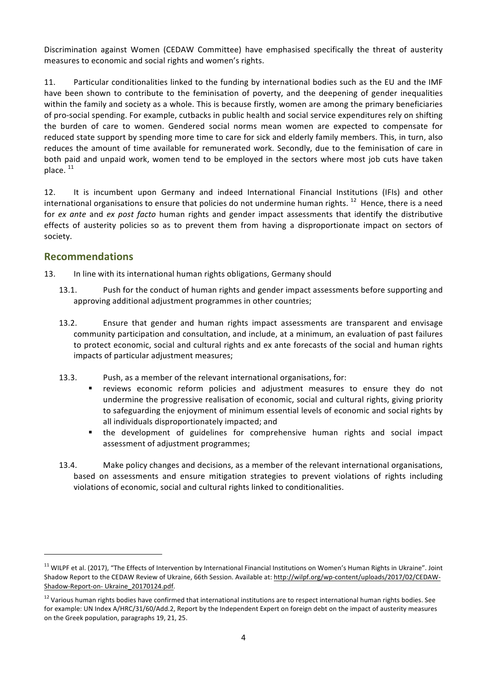Discrimination against Women (CEDAW Committee) have emphasised specifically the threat of austerity measures to economic and social rights and women's rights.

11. Particular conditionalities linked to the funding by international bodies such as the EU and the IMF have been shown to contribute to the feminisation of poverty, and the deepening of gender inequalities within the family and society as a whole. This is because firstly, women are among the primary beneficiaries of pro-social spending. For example, cutbacks in public health and social service expenditures rely on shifting the burden of care to women. Gendered social norms mean women are expected to compensate for reduced state support by spending more time to care for sick and elderly family members. This, in turn, also reduces the amount of time available for remunerated work. Secondly, due to the feminisation of care in both paid and unpaid work, women tend to be employed in the sectors where most job cuts have taken place.<sup>11</sup>

12. It is incumbent upon Germany and indeed International Financial Institutions (IFIs) and other international organisations to ensure that policies do not undermine human rights.  $^{12}$  Hence, there is a need for *ex ante* and *ex post facto* human rights and gender impact assessments that identify the distributive effects of austerity policies so as to prevent them from having a disproportionate impact on sectors of society. 

#### **Recommendations**

 

13. In line with its international human rights obligations, Germany should

- 13.1. Push for the conduct of human rights and gender impact assessments before supporting and approving additional adjustment programmes in other countries;
- 13.2. Ensure that gender and human rights impact assessments are transparent and envisage community participation and consultation, and include, at a minimum, an evaluation of past failures to protect economic, social and cultural rights and ex ante forecasts of the social and human rights impacts of particular adjustment measures;
- 13.3. Push, as a member of the relevant international organisations, for:
	- " reviews economic reform policies and adjustment measures to ensure they do not undermine the progressive realisation of economic, social and cultural rights, giving priority to safeguarding the enjoyment of minimum essential levels of economic and social rights by all individuals disproportionately impacted; and
	- the development of guidelines for comprehensive human rights and social impact assessment of adjustment programmes;
- 13.4. Make policy changes and decisions, as a member of the relevant international organisations, based on assessments and ensure mitigation strategies to prevent violations of rights including violations of economic, social and cultural rights linked to conditionalities.

 $11$  WILPF et al. (2017), "The Effects of Intervention by International Financial Institutions on Women's Human Rights in Ukraine". Joint Shadow Report to the CEDAW Review of Ukraine, 66th Session. Available at: http://wilpf.org/wp-content/uploads/2017/02/CEDAW-Shadow-Report-on- Ukraine\_20170124.pdf. 

 $12$  Various human rights bodies have confirmed that international institutions are to respect international human rights bodies. See for example: UN Index A/HRC/31/60/Add.2, Report by the Independent Expert on foreign debt on the impact of austerity measures on the Greek population, paragraphs 19, 21, 25.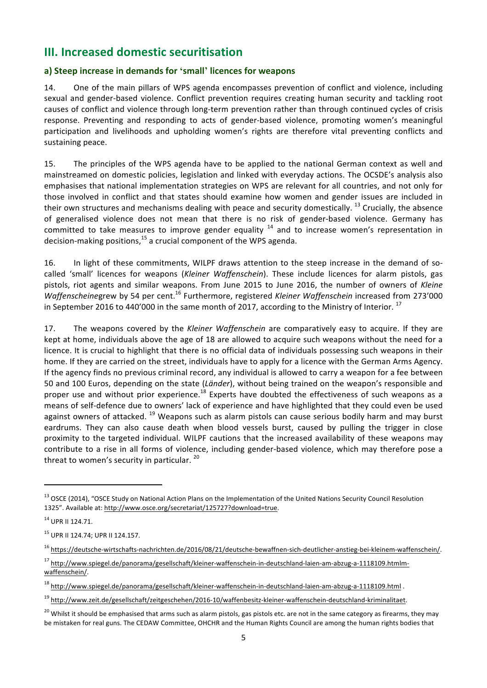### **III.** Increased domestic securitisation

#### **a) Steep increase in demands for 'small' licences for weapons**

14. One of the main pillars of WPS agenda encompasses prevention of conflict and violence, including sexual and gender-based violence. Conflict prevention requires creating human security and tackling root causes of conflict and violence through long-term prevention rather than through continued cycles of crisis response. Preventing and responding to acts of gender-based violence, promoting women's meaningful participation and livelihoods and upholding women's rights are therefore vital preventing conflicts and sustaining peace.

15. The principles of the WPS agenda have to be applied to the national German context as well and mainstreamed on domestic policies, legislation and linked with everyday actions. The OCSDE's analysis also emphasises that national implementation strategies on WPS are relevant for all countries, and not only for those involved in conflict and that states should examine how women and gender issues are included in their own structures and mechanisms dealing with peace and security domestically.  $^{13}$  Crucially, the absence of generalised violence does not mean that there is no risk of gender-based violence. Germany has committed to take measures to improve gender equality  $14$  and to increase women's representation in decision-making positions,  $^{15}$  a crucial component of the WPS agenda.

16. In light of these commitments, WILPF draws attention to the steep increase in the demand of socalled 'small' licences for weapons (*Kleiner Waffenschein*). These include licences for alarm pistols, gas pistols, riot agents and similar weapons. From June 2015 to June 2016, the number of owners of Kleine *Waffenscheinegrew* by 54 per cent.<sup>16</sup> Furthermore, registered *Kleiner Waffenschein* increased from 273'000 in September 2016 to 440'000 in the same month of 2017, according to the Ministry of Interior.  $^{17}$ 

17. The weapons covered by the *Kleiner Waffenschein* are comparatively easy to acquire. If they are kept at home, individuals above the age of 18 are allowed to acquire such weapons without the need for a licence. It is crucial to highlight that there is no official data of individuals possessing such weapons in their home. If they are carried on the street, individuals have to apply for a licence with the German Arms Agency. If the agency finds no previous criminal record, any individual is allowed to carry a weapon for a fee between 50 and 100 Euros, depending on the state (Länder), without being trained on the weapon's responsible and proper use and without prior experience.<sup>18</sup> Experts have doubted the effectiveness of such weapons as a means of self-defence due to owners' lack of experience and have highlighted that they could even be used against owners of attacked.  $^{19}$  Weapons such as alarm pistols can cause serious bodily harm and may burst eardrums. They can also cause death when blood vessels burst, caused by pulling the trigger in close proximity to the targeted individual. WILPF cautions that the increased availability of these weapons may contribute to a rise in all forms of violence, including gender-based violence, which may therefore pose a threat to women's security in particular.  $20$ 

<sup>&</sup>lt;sup>13</sup> OSCE (2014), "OSCE Study on National Action Plans on the Implementation of the United Nations Security Council Resolution 1325". Available at: http://www.osce.org/secretariat/125727?download=true.

 $14$  UPR II 124.71.

<sup>&</sup>lt;sup>15</sup> UPR II 124.74; UPR II 124.157.

<sup>16</sup> https://deutsche-wirtschafts-nachrichten.de/2016/08/21/deutsche-bewaffnen-sich-deutlicher-anstieg-bei-kleinem-waffenschein/. 

<sup>&</sup>lt;sup>17</sup> http://www.spiegel.de/panorama/gesellschaft/kleiner-waffenschein-in-deutschland-laien-am-abzug-a-1118109.htmlmwaffenschein/. 

<sup>&</sup>lt;sup>18</sup> http://www.spiegel.de/panorama/gesellschaft/kleiner-waffenschein-in-deutschland-laien-am-abzug-a-1118109.html .

<sup>19</sup> http://www.zeit.de/gesellschaft/zeitgeschehen/2016-10/waffenbesitz-kleiner-waffenschein-deutschland-kriminalitaet. 

<sup>&</sup>lt;sup>20</sup> Whilst it should be emphasised that arms such as alarm pistols, gas pistols etc. are not in the same category as firearms, they may be mistaken for real guns. The CEDAW Committee, OHCHR and the Human Rights Council are among the human rights bodies that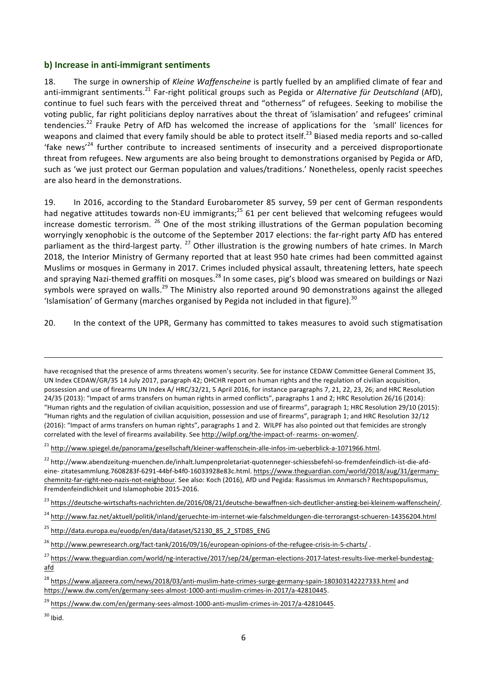#### **b)** Increase in anti-immigrant sentiments

18. The surge in ownership of *Kleine Waffenscheine* is partly fuelled by an amplified climate of fear and anti-immigrant sentiments.<sup>21</sup> Far-right political groups such as Pegida or Alternative für Deutschland (AfD), continue to fuel such fears with the perceived threat and "otherness" of refugees. Seeking to mobilise the voting public, far right politicians deploy narratives about the threat of 'islamisation' and refugees' criminal tendencies.<sup>22</sup> Frauke Petry of AfD has welcomed the increase of applications for the *'small'* licences for weapons and claimed that every family should be able to protect itself.<sup>23</sup> Biased media reports and so-called 'fake news'<sup>24</sup> further contribute to increased sentiments of insecurity and a perceived disproportionate threat from refugees. New arguments are also being brought to demonstrations organised by Pegida or AfD, such as 'we just protect our German population and values/traditions.' Nonetheless, openly racist speeches are also heard in the demonstrations.

19. In 2016, according to the Standard Eurobarometer 85 survey, 59 per cent of German respondents had negative attitudes towards non-EU immigrants;<sup>25</sup> 61 per cent believed that welcoming refugees would increase domestic terrorism.  $^{26}$  One of the most striking illustrations of the German population becoming worryingly xenophobic is the outcome of the September 2017 elections: the far-right party AfD has entered parliament as the third-largest party.  $^{27}$  Other illustration is the growing numbers of hate crimes. In March 2018, the Interior Ministry of Germany reported that at least 950 hate crimes had been committed against Muslims or mosques in Germany in 2017. Crimes included physical assault, threatening letters, hate speech and spraying Nazi-themed graffiti on mosques.<sup>28</sup> In some cases, pig's blood was smeared on buildings or Nazi symbols were sprayed on walls.<sup>29</sup> The Ministry also reported around 90 demonstrations against the alleged 'Islamisation' of Germany (marches organised by Pegida not included in that figure).<sup>30</sup>

20. In the context of the UPR, Germany has committed to takes measures to avoid such stigmatisation

<u> 1989 - Johann Stoff, amerikansk politiker (d. 1989)</u>

<sup>21</sup> http://www.spiegel.de/panorama/gesellschaft/kleiner-waffenschein-alle-infos-im-ueberblick-a-1071966.html.

<sup>22</sup> http://www.abendzeitung-muenchen.de/inhalt.lumpenproletariat-quotenneger-schiessbefehl-so-fremdenfeindlich-ist-die-afdeine- zitatesammlung.7608283f-6291-44bf-b4f0-16033928e83c.html. https://www.theguardian.com/world/2018/aug/31/germanychemnitz-far-right-neo-nazis-not-neighbour. See also: Koch (2016), AfD und Pegida: Rassismus im Anmarsch? Rechtspopulismus, Fremdenfeindlichkeit und Islamophobie 2015-2016.

- <sup>23</sup> https://deutsche-wirtschafts-nachrichten.de/2016/08/21/deutsche-bewaffnen-sich-deutlicher-anstieg-bei-kleinem-waffenschein/.
- <sup>24</sup> http://www.faz.net/aktuell/politik/inland/geruechte-im-internet-wie-falschmeldungen-die-terrorangst-schueren-14356204.html
- <sup>25</sup> http://data.europa.eu/euodp/en/data/dataset/S2130\_85\_2\_STD85\_ENG

<sup>26</sup> http://www.pewresearch.org/fact-tank/2016/09/16/european-opinions-of-the-refugee-crisis-in-5-charts/.

 $30$  Ibid.

have recognised that the presence of arms threatens women's security. See for instance CEDAW Committee General Comment 35, UN Index CEDAW/GR/35 14 July 2017, paragraph 42; OHCHR report on human rights and the regulation of civilian acquisition, possession and use of firearms UN Index A/ HRC/32/21, 5 April 2016, for instance paragraphs 7, 21, 22, 23, 26; and HRC Resolution 24/35 (2013): "Impact of arms transfers on human rights in armed conflicts", paragraphs 1 and 2; HRC Resolution 26/16 (2014): "Human rights and the regulation of civilian acquisition, possession and use of firearms", paragraph 1; HRC Resolution 29/10 (2015): "Human rights and the regulation of civilian acquisition, possession and use of firearms", paragraph 1; and HRC Resolution 32/12 (2016): "Impact of arms transfers on human rights", paragraphs 1 and 2. WILPF has also pointed out that femicides are strongly correlated with the level of firearms availability. See http://wilpf.org/the-impact-of- rearms- on-women/.

<sup>27</sup> https://www.theguardian.com/world/ng-interactive/2017/sep/24/german-elections-2017-latest-results-live-merkel-bundestagafd

<sup>&</sup>lt;sup>28</sup> https://www.aljazeera.com/news/2018/03/anti-muslim-hate-crimes-surge-germany-spain-180303142227333.html and https://www.dw.com/en/germany-sees-almost-1000-anti-muslim-crimes-in-2017/a-42810445. 

<sup>&</sup>lt;sup>29</sup> https://www.dw.com/en/germany-sees-almost-1000-anti-muslim-crimes-in-2017/a-42810445.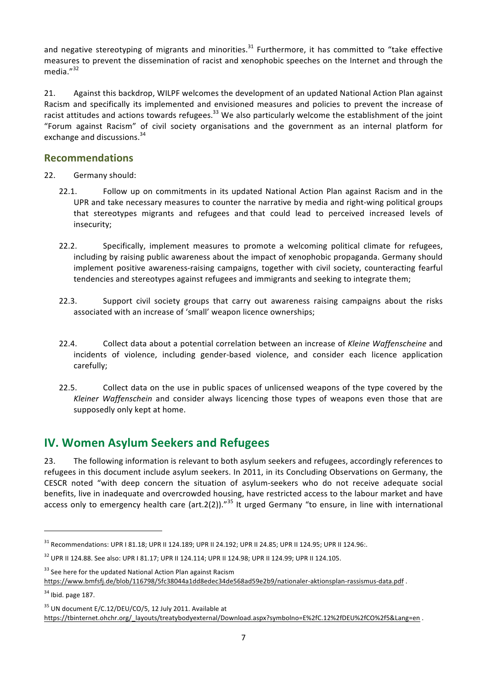and negative stereotyping of migrants and minorities.<sup>31</sup> Furthermore, it has committed to "take effective measures to prevent the dissemination of racist and xenophobic speeches on the Internet and through the media."<sup>32</sup>

21. Against this backdrop, WILPF welcomes the development of an updated National Action Plan against Racism and specifically its implemented and envisioned measures and policies to prevent the increase of racist attitudes and actions towards refugees.<sup>33</sup> We also particularly welcome the establishment of the joint "Forum against Racism" of civil society organisations and the government as an internal platform for exchange and discussions.<sup>34</sup>

#### **Recommendations**

22. Germany should:

- 22.1. Follow up on commitments in its updated National Action Plan against Racism and in the UPR and take necessary measures to counter the narrative by media and right-wing political groups that stereotypes migrants and refugees and that could lead to perceived increased levels of insecurity;
- 22.2. Specifically, implement measures to promote a welcoming political climate for refugees, including by raising public awareness about the impact of xenophobic propaganda. Germany should implement positive awareness-raising campaigns, together with civil society, counteracting fearful tendencies and stereotypes against refugees and immigrants and seeking to integrate them;
- 22.3. Support civil society groups that carry out awareness raising campaigns about the risks associated with an increase of 'small' weapon licence ownerships;
- 22.4. Collect data about a potential correlation between an increase of *Kleine Waffenscheine* and incidents of violence, including gender-based violence, and consider each licence application carefully;
- 22.5. Collect data on the use in public spaces of unlicensed weapons of the type covered by the *Kleiner Waffenschein* and consider always licencing those types of weapons even those that are supposedly only kept at home.

## **IV. Women Asylum Seekers and Refugees**

23. The following information is relevant to both asylum seekers and refugees, accordingly references to refugees in this document include asylum seekers. In 2011, in its Concluding Observations on Germany, the CESCR noted "with deep concern the situation of asylum-seekers who do not receive adequate social benefits, live in inadequate and overcrowded housing, have restricted access to the labour market and have access only to emergency health care (art.2(2))."<sup>35</sup> It urged Germany "to ensure, in line with international

 $33$  See here for the updated National Action Plan against Racism

 $31$  Recommendations: UPR I 81.18; UPR II 124.189; UPR II 24.192; UPR II 24.85; UPR II 124.95; UPR II 124.96:.

 $32$  UPR II 124.88. See also: UPR I 81.17; UPR II 124.114; UPR II 124.98; UPR II 124.99; UPR II 124.105.

https://www.bmfsfj.de/blob/116798/5fc38044a1dd8edec34de568ad59e2b9/nationaler-aktionsplan-rassismus-data.pdf . 

 $34$  Ibid. page 187.

<sup>&</sup>lt;sup>35</sup> UN document E/C.12/DEU/CO/5, 12 July 2011. Available at https://tbinternet.ohchr.org/\_layouts/treatybodyexternal/Download.aspx?symbolno=E%2fC.12%2fDEU%2fCO%2f5&Lang=en .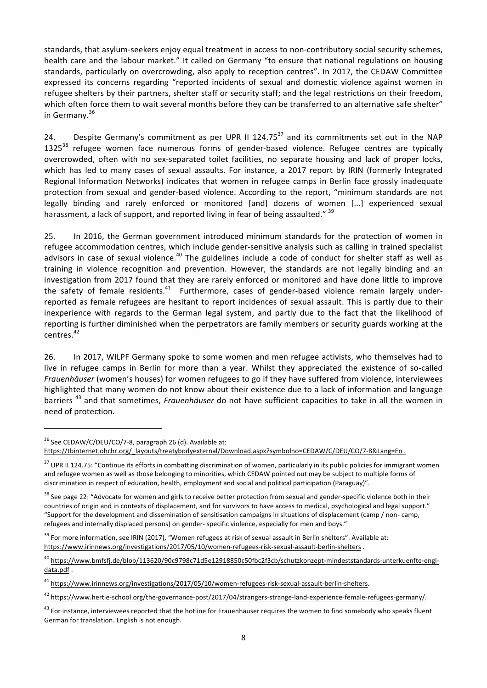standards, that asylum-seekers enjoy equal treatment in access to non-contributory social security schemes, health care and the labour market." It called on Germany "to ensure that national regulations on housing standards, particularly on overcrowding, also apply to reception centres". In 2017, the CEDAW Committee expressed its concerns regarding "reported incidents of sexual and domestic violence against women in refugee shelters by their partners, shelter staff or security staff; and the legal restrictions on their freedom, which often force them to wait several months before they can be transferred to an alternative safe shelter" in Germany. $36$ 

24. Despite Germany's commitment as per UPR II 124.75<sup>37</sup> and its commitments set out in the NAP  $1325^{38}$  refugee women face numerous forms of gender-based violence. Refugee centres are typically overcrowded, often with no sex-separated toilet facilities, no separate housing and lack of proper locks, which has led to many cases of sexual assaults. For instance, a 2017 report by IRIN (formerly Integrated Regional Information Networks) indicates that women in refugee camps in Berlin face grossly inadequate protection from sexual and gender-based violence. According to the report, "minimum standards are not legally binding and rarely enforced or monitored [and] dozens of women [...] experienced sexual harassment, a lack of support, and reported living in fear of being assaulted."  $39$ 

25. In 2016, the German government introduced minimum standards for the protection of women in refugee accommodation centres, which include gender-sensitive analysis such as calling in trained specialist advisors in case of sexual violence.<sup>40</sup> The guidelines include a code of conduct for shelter staff as well as training in violence recognition and prevention. However, the standards are not legally binding and an investigation from 2017 found that they are rarely enforced or monitored and have done little to improve the safety of female residents.<sup>41</sup> Furthermore, cases of gender-based violence remain largely underreported as female refugees are hesitant to report incidences of sexual assault. This is partly due to their inexperience with regards to the German legal system, and partly due to the fact that the likelihood of reporting is further diminished when the perpetrators are family members or security guards working at the centres.<sup>42</sup>

26. In 2017, WILPF Germany spoke to some women and men refugee activists, who themselves had to live in refugee camps in Berlin for more than a year. Whilst they appreciated the existence of so-called *Frauenhäuser* (women's houses) for women refugees to go if they have suffered from violence, interviewees highlighted that many women do not know about their existence due to a lack of information and language barriers<sup>43</sup> and that sometimes, *Frauenhäuser* do not have sufficient capacities to take in all the women in need of protection.

 $36$  See CEDAW/C/DEU/CO/7-8, paragraph 26 (d). Available at:

https://tbinternet.ohchr.org/\_layouts/treatybodyexternal/Download.aspx?symbolno=CEDAW/C/DEU/CO/7-8&Lang=En .

<sup>&</sup>lt;sup>37</sup> UPR II 124.75: "Continue its efforts in combatting discrimination of women, particularly in its public policies for immigrant women and refugee women as well as those belonging to minorities, which CEDAW pointed out may be subject to multiple forms of discrimination in respect of education, health, employment and social and political participation (Paraguay)".

<sup>&</sup>lt;sup>38</sup> See page 22: "Advocate for women and girls to receive better protection from sexual and gender-specific violence both in their countries of origin and in contexts of displacement, and for survivors to have access to medical, psychological and legal support." "Support for the development and dissemination of sensitisation campaigns in situations of displacement (camp / non- camp, refugees and internally displaced persons) on gender- specific violence, especially for men and boys."

 $39$  For more information, see IRIN (2017), "Women refugees at risk of sexual assault in Berlin shelters". Available at: https://www.irinnews.org/investigations/2017/05/10/women-refugees-risk-sexual-assault-berlin-shelters . 

<sup>40</sup> https://www.bmfsfj.de/blob/113620/90c9798c71d5e12918850c50fbc2f3cb/schutzkonzept-mindeststandards-unterkuenfte-engldata.pdf . 

<sup>41</sup> https://www.irinnews.org/investigations/2017/05/10/women-refugees-risk-sexual-assault-berlin-shelters. 

<sup>&</sup>lt;sup>42</sup> https://www.hertie-school.org/the-governance-post/2017/04/strangers-strange-land-experience-female-refugees-germany/.

 $43$  For instance, interviewees reported that the hotline for Frauenhäuser requires the women to find somebody who speaks fluent German for translation. English is not enough.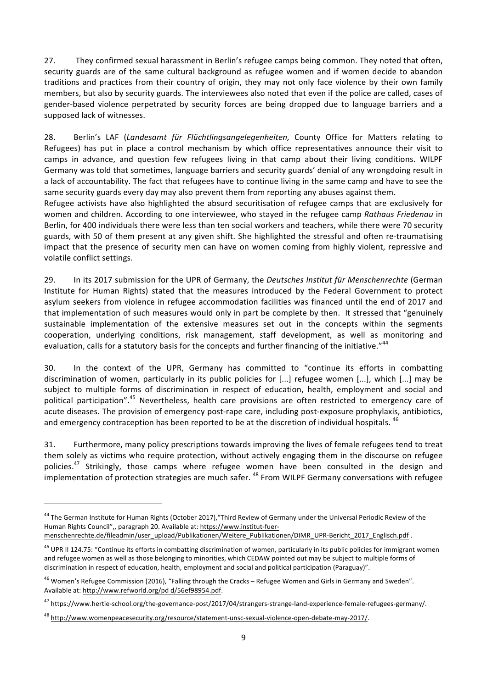27. They confirmed sexual harassment in Berlin's refugee camps being common. They noted that often. security guards are of the same cultural background as refugee women and if women decide to abandon traditions and practices from their country of origin, they may not only face violence by their own family members, but also by security guards. The interviewees also noted that even if the police are called, cases of gender-based violence perpetrated by security forces are being dropped due to language barriers and a supposed lack of witnesses.

28. Berlin's LAF (*Landesamt für Flüchtlingsangelegenheiten*, County Office for Matters relating to Refugees) has put in place a control mechanism by which office representatives announce their visit to camps in advance, and question few refugees living in that camp about their living conditions. WILPF Germany was told that sometimes, language barriers and security guards' denial of any wrongdoing result in a lack of accountability. The fact that refugees have to continue living in the same camp and have to see the same security guards every day may also prevent them from reporting any abuses against them.

Refugee activists have also highlighted the absurd securitisation of refugee camps that are exclusively for women and children. According to one interviewee, who stayed in the refugee camp *Rathaus Friedenau* in Berlin, for 400 individuals there were less than ten social workers and teachers, while there were 70 security guards, with 50 of them present at any given shift. She highlighted the stressful and often re-traumatising impact that the presence of security men can have on women coming from highly violent, repressive and volatile conflict settings.

29. In its 2017 submission for the UPR of Germany, the *Deutsches Institut für Menschenrechte* (German Institute for Human Rights) stated that the measures introduced by the Federal Government to protect asylum seekers from violence in refugee accommodation facilities was financed until the end of 2017 and that implementation of such measures would only in part be complete by then. It stressed that "genuinely sustainable implementation of the extensive measures set out in the concepts within the segments cooperation, underlying conditions, risk management, staff development, as well as monitoring and evaluation, calls for a statutory basis for the concepts and further financing of the initiative."<sup>44</sup>

30. In the context of the UPR, Germany has committed to "continue its efforts in combatting discrimination of women, particularly in its public policies for  $[...]$  refugee women  $[...]$ , which  $[...]$  may be subiect to multiple forms of discrimination in respect of education, health, employment and social and political participation".<sup>45</sup> Nevertheless, health care provisions are often restricted to emergency care of acute diseases. The provision of emergency post-rape care, including post-exposure prophylaxis, antibiotics, and emergency contraception has been reported to be at the discretion of individual hospitals.  $46$ 

31. Furthermore, many policy prescriptions towards improving the lives of female refugees tend to treat them solely as victims who require protection, without actively engaging them in the discourse on refugee policies.<sup>47</sup> Strikingly, those camps where refugee women have been consulted in the design and implementation of protection strategies are much safer. <sup>48</sup> From WILPF Germany conversations with refugee

 $44$  The German Institute for Human Rights (October 2017), "Third Review of Germany under the Universal Periodic Review of the Human Rights Council",, paragraph 20. Available at: https://www.institut-fuer-

menschenrechte.de/fileadmin/user\_upload/Publikationen/Weitere\_Publikationen/DIMR\_UPR-Bericht\_2017\_Englisch.pdf .

<sup>&</sup>lt;sup>45</sup> UPR II 124.75: "Continue its efforts in combatting discrimination of women, particularly in its public policies for immigrant women and refugee women as well as those belonging to minorities, which CEDAW pointed out may be subject to multiple forms of discrimination in respect of education, health, employment and social and political participation (Paraguay)".

 $46$  Women's Refugee Commission (2016), "Falling through the Cracks – Refugee Women and Girls in Germany and Sweden". Available at: http://www.refworld.org/pd d/56ef98954.pdf.

<sup>&</sup>lt;sup>47</sup> https://www.hertie-school.org/the-governance-post/2017/04/strangers-strange-land-experience-female-refugees-germany/.

<sup>48</sup> http://www.womenpeacesecurity.org/resource/statement-unsc-sexual-violence-open-debate-may-2017/.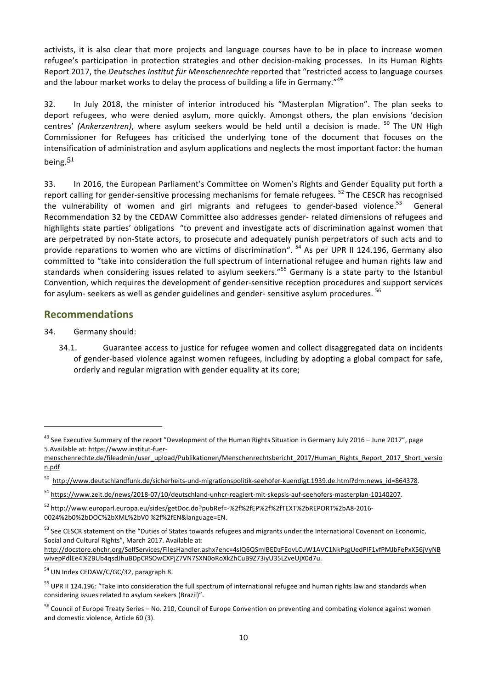activists, it is also clear that more projects and language courses have to be in place to increase women refugee's participation in protection strategies and other decision-making processes. In its Human Rights Report 2017, the *Deutsches Institut für Menschenrechte* reported that "restricted access to language courses and the labour market works to delay the process of building a life in Germany."<sup>49</sup>

32. In July 2018, the minister of interior introduced his "Masterplan Migration". The plan seeks to deport refugees, who were denied asylum, more quickly. Amongst others, the plan envisions 'decision centres' (Ankerzentren), where asylum seekers would be held until a decision is made. <sup>50</sup> The UN High Commissioner for Refugees has criticised the underlying tone of the document that focuses on the intensification of administration and asylum applications and neglects the most important factor: the human being.<sup>51</sup>

33. In 2016, the European Parliament's Committee on Women's Rights and Gender Equality put forth a report calling for gender-sensitive processing mechanisms for female refugees. <sup>52</sup> The CESCR has recognised the vulnerability of women and girl migrants and refugees to gender-based violence.<sup>53</sup> General Recommendation 32 by the CEDAW Committee also addresses gender- related dimensions of refugees and highlights state parties' obligations "to prevent and investigate acts of discrimination against women that are perpetrated by non-State actors, to prosecute and adequately punish perpetrators of such acts and to provide reparations to women who are victims of discrimination".  $54$  As per UPR II 124.196, Germany also committed to "take into consideration the full spectrum of international refugee and human rights law and standards when considering issues related to asylum seekers."<sup>55</sup> Germany is a state party to the Istanbul Convention, which requires the development of gender-sensitive reception procedures and support services for asylum- seekers as well as gender guidelines and gender- sensitive asylum procedures.  $^{56}$ 

#### **Recommendations**

34. Germany should:

 

34.1. Guarantee access to justice for refugee women and collect disaggregated data on incidents of gender-based violence against women refugees, including by adopting a global compact for safe, orderly and regular migration with gender equality at its core;

http://docstore.ohchr.org/SelfServices/FilesHandler.ashx?enc=4slQ6QSmlBEDzFEovLCuW1AVC1NkPsgUedPlF1vfPMJbFePxX56jVyNB wivepPdlEe4%2BUb4qsdJhuBDpCRSOwCXPjZ7VN7SXN0oRoXkZhCuB9Z73iyU35LZveUjX0d7u. 

 $54$  UN Index CEDAW/C/GC/32, paragraph 8.

 $49$  See Executive Summary of the report "Development of the Human Rights Situation in Germany July 2016 – June 2017", page 5.Available at: https://www.institut-fuer-

menschenrechte.de/fileadmin/user\_upload/Publikationen/Menschenrechtsbericht\_2017/Human\_Rights\_Report\_2017\_Short\_versio n.pdf

<sup>50</sup> http://www.deutschlandfunk.de/sicherheits-und-migrationspolitik-seehofer-kuendigt.1939.de.html?drn:news\_id=864378.

<sup>51</sup> https://www.zeit.de/news/2018-07/10/deutschland-unhcr-reagiert-mit-skepsis-auf-seehofers-masterplan-10140207. 

<sup>52</sup> http://www.europarl.europa.eu/sides/getDoc.do?pubRef=-%2f%2fEP%2f%2fTEXT%2bREPORT%2bA8-2016- 0024%2b0%2bDOC%2bXML%2bV0 %2f%2fEN&language=EN. 

<sup>53</sup> See CESCR statement on the "Duties of States towards refugees and migrants under the International Covenant on Economic, Social and Cultural Rights", March 2017. Available at:

<sup>&</sup>lt;sup>55</sup> UPR II 124.196: "Take into consideration the full spectrum of international refugee and human rights law and standards when considering issues related to asylum seekers (Brazil)".

<sup>&</sup>lt;sup>56</sup> Council of Europe Treaty Series – No. 210, Council of Europe Convention on preventing and combating violence against women and domestic violence. Article 60 (3).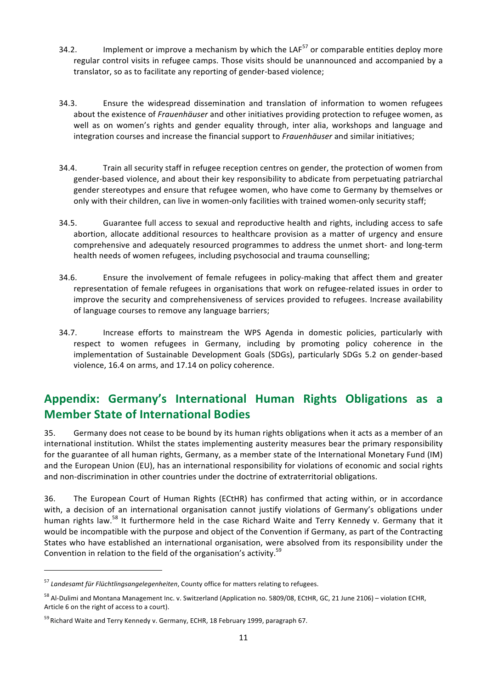- 34.2. Implement or improve a mechanism by which the LAF<sup>57</sup> or comparable entities deploy more regular control visits in refugee camps. Those visits should be unannounced and accompanied by a translator, so as to facilitate any reporting of gender-based violence;
- 34.3. Ensure the widespread dissemination and translation of information to women refugees about the existence of *Frauenhäuser* and other initiatives providing protection to refugee women, as well as on women's rights and gender equality through, inter alia, workshops and language and integration courses and increase the financial support to *Frauenhäuser* and similar initiatives;
- 34.4. Train all security staff in refugee reception centres on gender, the protection of women from gender-based violence, and about their key responsibility to abdicate from perpetuating patriarchal gender stereotypes and ensure that refugee women, who have come to Germany by themselves or only with their children, can live in women-only facilities with trained women-only security staff;
- 34.5. Guarantee full access to sexual and reproductive health and rights, including access to safe abortion, allocate additional resources to healthcare provision as a matter of urgency and ensure comprehensive and adequately resourced programmes to address the unmet short- and long-term health needs of women refugees, including psychosocial and trauma counselling;
- 34.6. Ensure the involvement of female refugees in policy-making that affect them and greater representation of female refugees in organisations that work on refugee-related issues in order to improve the security and comprehensiveness of services provided to refugees. Increase availability of language courses to remove any language barriers;
- 34.7. Increase efforts to mainstream the WPS Agenda in domestic policies, particularly with respect to women refugees in Germany, including by promoting policy coherence in the implementation of Sustainable Development Goals (SDGs), particularly SDGs 5.2 on gender-based violence, 16.4 on arms, and 17.14 on policy coherence.

## Appendix: Germany's International Human Rights Obligations as a **Member State of International Bodies**

35. Germany does not cease to be bound by its human rights obligations when it acts as a member of an international institution. Whilst the states implementing austerity measures bear the primary responsibility for the guarantee of all human rights, Germany, as a member state of the International Monetary Fund (IM) and the European Union (EU), has an international responsibility for violations of economic and social rights and non-discrimination in other countries under the doctrine of extraterritorial obligations.

36. The European Court of Human Rights (ECtHR) has confirmed that acting within, or in accordance with, a decision of an international organisation cannot justify violations of Germany's obligations under human rights law.<sup>58</sup> It furthermore held in the case Richard Waite and Terry Kennedy v. Germany that it would be incompatible with the purpose and object of the Convention if Germany, as part of the Contracting States who have established an international organisation, were absolved from its responsibility under the Convention in relation to the field of the organisation's activity. $59$ 

<sup>&</sup>lt;sup>57</sup> Landesamt für Flüchtlingsangelegenheiten, County office for matters relating to refugees.

<sup>58</sup> Al-Dulimi and Montana Management Inc. v. Switzerland (Application no. 5809/08, ECtHR, GC, 21 June 2106) – violation ECHR, Article 6 on the right of access to a court).

 $59$  Richard Waite and Terry Kennedy v. Germany, ECHR, 18 February 1999, paragraph 67.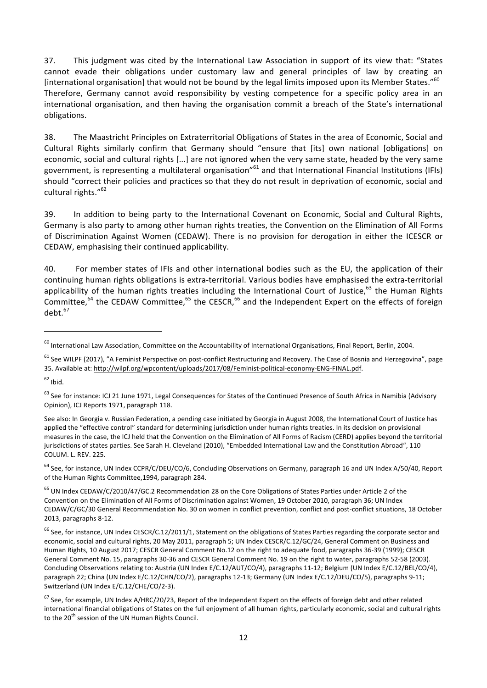37. This judgment was cited by the International Law Association in support of its view that: "States cannot evade their obligations under customary law and general principles of law by creating an [international organisation] that would not be bound by the legal limits imposed upon its Member States." $60$ Therefore, Germany cannot avoid responsibility by vesting competence for a specific policy area in an international organisation, and then having the organisation commit a breach of the State's international obligations. 

38. The Maastricht Principles on Extraterritorial Obligations of States in the area of Economic, Social and Cultural Rights similarly confirm that Germany should "ensure that [its] own national [obligations] on economic, social and cultural rights [...] are not ignored when the very same state, headed by the very same government, is representing a multilateral organisation"<sup>61</sup> and that International Financial Institutions (IFIs) should "correct their policies and practices so that they do not result in deprivation of economic, social and cultural rights."<sup>62</sup>

39. In addition to being party to the International Covenant on Economic, Social and Cultural Rights, Germany is also party to among other human rights treaties, the Convention on the Elimination of All Forms of Discrimination Against Women (CEDAW). There is no provision for derogation in either the ICESCR or CEDAW, emphasising their continued applicability.

40. For member states of IFIs and other international bodies such as the EU, the application of their continuing human rights obligations is extra-territorial. Various bodies have emphasised the extra-territorial applicability of the human rights treaties including the International Court of Justice, $^{63}$  the Human Rights Committee,<sup>64</sup> the CEDAW Committee,<sup>65</sup> the CESCR,<sup>66</sup> and the Independent Expert on the effects of foreign debt $67$ 

<u> 1989 - Johann Stein, fransk politiker (d. 1989)</u>

<sup>64</sup> See, for instance, UN Index CCPR/C/DEU/CO/6, Concluding Observations on Germany, paragraph 16 and UN Index A/50/40, Report of the Human Rights Committee, 1994, paragraph 284.

 $^{60}$  International Law Association, Committee on the Accountability of International Organisations, Final Report, Berlin, 2004.

 $61$  See WILPF (2017), "A Feminist Perspective on post-conflict Restructuring and Recovery. The Case of Bosnia and Herzegovina", page 35. Available at: http://wilpf.org/wpcontent/uploads/2017/08/Feminist-political-economy-ENG-FINAL.pdf.

 $62$  Ibid.

<sup>63</sup> See for instance: ICJ 21 June 1971, Legal Consequences for States of the Continued Presence of South Africa in Namibia (Advisory Opinion), ICJ Reports 1971, paragraph 118.

See also: In Georgia v. Russian Federation, a pending case initiated by Georgia in August 2008, the International Court of Justice has applied the "effective control" standard for determining jurisdiction under human rights treaties. In its decision on provisional measures in the case, the ICJ held that the Convention on the Elimination of All Forms of Racism (CERD) applies beyond the territorial jurisdictions of states parties. See Sarah H. Cleveland (2010), "Embedded International Law and the Constitution Abroad", 110 COLUM. L. REV. 225.

 $65$  UN Index CEDAW/C/2010/47/GC.2 Recommendation 28 on the Core Obligations of States Parties under Article 2 of the Convention on the Elimination of All Forms of Discrimination against Women, 19 October 2010, paragraph 36; UN Index CEDAW/C/GC/30 General Recommendation No. 30 on women in conflict prevention, conflict and post-conflict situations, 18 October 2013, paragraphs 8-12.

 $^{66}$  See, for instance, UN Index CESCR/C.12/2011/1, Statement on the obligations of States Parties regarding the corporate sector and economic, social and cultural rights, 20 May 2011, paragraph 5; UN Index CESCR/C.12/GC/24, General Comment on Business and Human Rights, 10 August 2017; CESCR General Comment No.12 on the right to adequate food, paragraphs 36-39 (1999); CESCR General Comment No. 15, paragraphs 30-36 and CESCR General Comment No. 19 on the right to water, paragraphs 52-58 (2003). Concluding Observations relating to: Austria (UN Index E/C.12/AUT/CO/4), paragraphs 11-12; Belgium (UN Index E/C.12/BEL/CO/4), paragraph 22; China (UN Index E/C.12/CHN/CO/2), paragraphs 12-13; Germany (UN Index E/C.12/DEU/CO/5), paragraphs 9-11; Switzerland (UN Index E/C.12/CHE/CO/2-3).

 $67$  See, for example, UN Index A/HRC/20/23, Report of the Independent Expert on the effects of foreign debt and other related international financial obligations of States on the full enjoyment of all human rights, particularly economic, social and cultural rights to the 20<sup>th</sup> session of the UN Human Rights Council.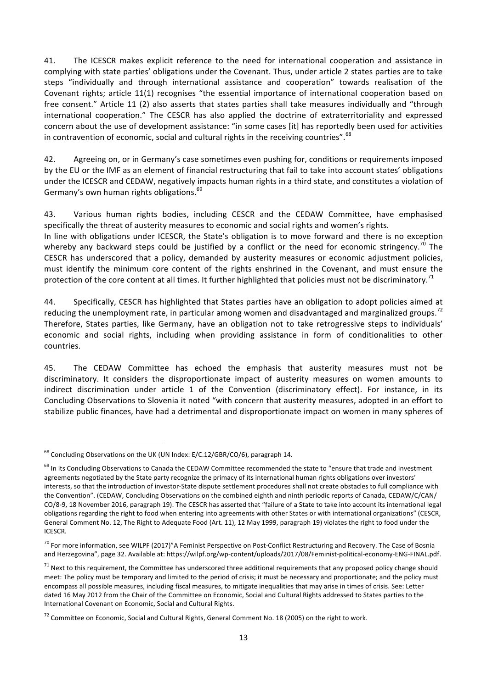41. The ICESCR makes explicit reference to the need for international cooperation and assistance in complying with state parties' obligations under the Covenant. Thus, under article 2 states parties are to take steps "individually and through international assistance and cooperation" towards realisation of the Covenant rights; article 11(1) recognises "the essential importance of international cooperation based on free consent." Article 11 (2) also asserts that states parties shall take measures individually and "through international cooperation." The CESCR has also applied the doctrine of extraterritoriality and expressed concern about the use of development assistance: "in some cases [it] has reportedly been used for activities in contravention of economic, social and cultural rights in the receiving countries". $68$ 

42. Agreeing on, or in Germany's case sometimes even pushing for, conditions or requirements imposed by the EU or the IMF as an element of financial restructuring that fail to take into account states' obligations under the ICESCR and CEDAW, negatively impacts human rights in a third state, and constitutes a violation of Germany's own human rights obligations.<sup>69</sup>

43. Various human rights bodies, including CESCR and the CEDAW Committee, have emphasised specifically the threat of austerity measures to economic and social rights and women's rights.

In line with obligations under ICESCR, the State's obligation is to move forward and there is no exception whereby any backward steps could be justified by a conflict or the need for economic stringency.<sup>70</sup> The CESCR has underscored that a policy, demanded by austerity measures or economic adjustment policies, must identify the minimum core content of the rights enshrined in the Covenant, and must ensure the protection of the core content at all times. It further highlighted that policies must not be discriminatory.<sup>71</sup>

44. Specifically, CESCR has highlighted that States parties have an obligation to adopt policies aimed at reducing the unemployment rate, in particular among women and disadvantaged and marginalized groups.<sup>72</sup> Therefore, States parties, like Germany, have an obligation not to take retrogressive steps to individuals' economic and social rights, including when providing assistance in form of conditionalities to other countries. 

45. The CEDAW Committee has echoed the emphasis that austerity measures must not be discriminatory. It considers the disproportionate impact of austerity measures on women amounts to indirect discrimination under article 1 of the Convention (discriminatory effect). For instance, in its Concluding Observations to Slovenia it noted "with concern that austerity measures, adopted in an effort to stabilize public finances, have had a detrimental and disproportionate impact on women in many spheres of

 

 $68$  Concluding Observations on the UK (UN Index: E/C.12/GBR/CO/6), paragraph 14.

 $^{69}$  In its Concluding Observations to Canada the CEDAW Committee recommended the state to "ensure that trade and investment agreements negotiated by the State party recognize the primacy of its international human rights obligations over investors' interests, so that the introduction of investor-State dispute settlement procedures shall not create obstacles to full compliance with the Convention". (CEDAW, Concluding Observations on the combined eighth and ninth periodic reports of Canada, CEDAW/C/CAN/ CO/8-9, 18 November 2016, paragraph 19). The CESCR has asserted that "failure of a State to take into account its international legal obligations regarding the right to food when entering into agreements with other States or with international organizations" (CESCR, General Comment No. 12, The Right to Adequate Food (Art. 11), 12 May 1999, paragraph 19) violates the right to food under the ICESCR. 

 $^{70}$  For more information, see WILPF (2017)"A Feminist Perspective on Post-Conflict Restructuring and Recovery. The Case of Bosnia and Herzegovina", page 32. Available at: https://wilpf.org/wp-content/uploads/2017/08/Feminist-political-economy-ENG-FINAL.pdf.

 $71$  Next to this requirement, the Committee has underscored three additional requirements that any proposed policy change should meet: The policy must be temporary and limited to the period of crisis; it must be necessary and proportionate; and the policy must encompass all possible measures, including fiscal measures, to mitigate inequalities that may arise in times of crisis. See: Letter dated 16 May 2012 from the Chair of the Committee on Economic, Social and Cultural Rights addressed to States parties to the International Covenant on Economic, Social and Cultural Rights.

 $72$  Committee on Economic, Social and Cultural Rights, General Comment No. 18 (2005) on the right to work.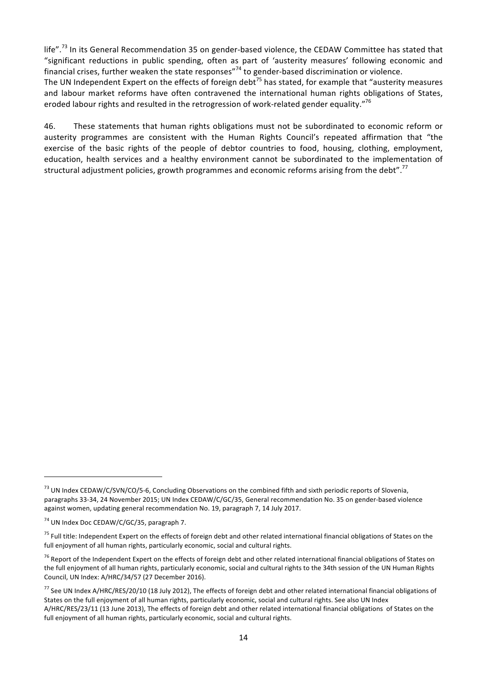life".<sup>73</sup> In its General Recommendation 35 on gender-based violence, the CEDAW Committee has stated that "significant reductions in public spending, often as part of 'austerity measures' following economic and financial crises, further weaken the state responses"<sup>74</sup> to gender-based discrimination or violence.

The UN Independent Expert on the effects of foreign debt<sup>75</sup> has stated, for example that "austerity measures" and labour market reforms have often contravened the international human rights obligations of States, eroded labour rights and resulted in the retrogression of work-related gender equality."<sup>76</sup>

46. These statements that human rights obligations must not be subordinated to economic reform or austerity programmes are consistent with the Human Rights Council's repeated affirmation that "the exercise of the basic rights of the people of debtor countries to food, housing, clothing, employment, education, health services and a healthy environment cannot be subordinated to the implementation of structural adjustment policies, growth programmes and economic reforms arising from the debt".<sup>77</sup>

<u> 1989 - Jan Samuel Barbara, margaret e</u>

 $<sup>73</sup>$  UN Index CEDAW/C/SVN/CO/5-6, Concluding Observations on the combined fifth and sixth periodic reports of Slovenia,</sup> paragraphs 33-34, 24 November 2015; UN Index CEDAW/C/GC/35, General recommendation No. 35 on gender-based violence against women, updating general recommendation No. 19, paragraph 7, 14 July 2017.

 $74$  UN Index Doc CEDAW/C/GC/35, paragraph 7.

 $75$  Full title: Independent Expert on the effects of foreign debt and other related international financial obligations of States on the full enjoyment of all human rights, particularly economic, social and cultural rights.

 $76$  Report of the Independent Expert on the effects of foreign debt and other related international financial obligations of States on the full enjoyment of all human rights, particularly economic, social and cultural rights to the 34th session of the UN Human Rights Council, UN Index: A/HRC/34/57 (27 December 2016).

<sup>&</sup>lt;sup>77</sup> See UN Index A/HRC/RES/20/10 (18 July 2012), The effects of foreign debt and other related international financial obligations of States on the full enjoyment of all human rights, particularly economic, social and cultural rights. See also UN Index A/HRC/RES/23/11 (13 June 2013), The effects of foreign debt and other related international financial obligations of States on the full enjoyment of all human rights, particularly economic, social and cultural rights.